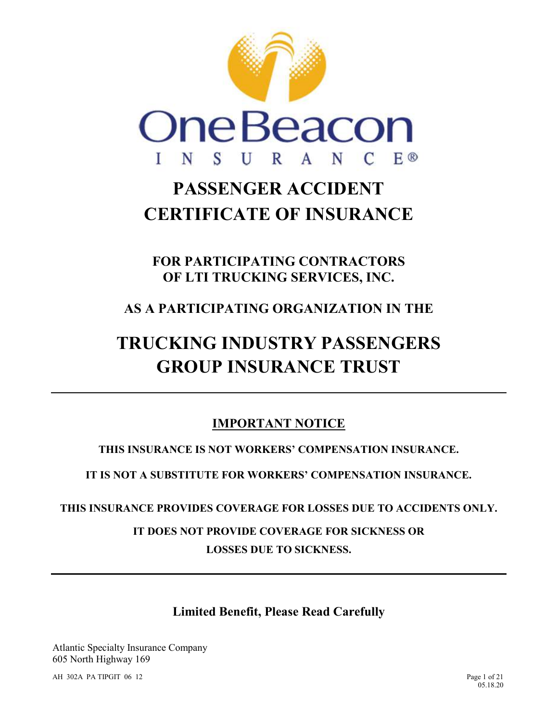

# **PASSENGER ACCIDENT CERTIFICATE OF INSURANCE**

**FOR PARTICIPATING CONTRACTORS OF LTI TRUCKING SERVICES, INC.** 

# **AS A PARTICIPATING ORGANIZATION IN THE**

# **TRUCKING INDUSTRY PASSENGERS GROUP INSURANCE TRUST**

# **IMPORTANT NOTICE**

**THIS INSURANCE IS NOT WORKERS' COMPENSATION INSURANCE.** 

**IT IS NOT A SUBSTITUTE FOR WORKERS' COMPENSATION INSURANCE.** 

**THIS INSURANCE PROVIDES COVERAGE FOR LOSSES DUE TO ACCIDENTS ONLY.** 

**IT DOES NOT PROVIDE COVERAGE FOR SICKNESS OR LOSSES DUE TO SICKNESS.** 

**Limited Benefit, Please Read Carefully**

Atlantic Specialty Insurance Company 605 North Highway 169

AH 302A PA TIPGIT 06 12 Page 1 of 21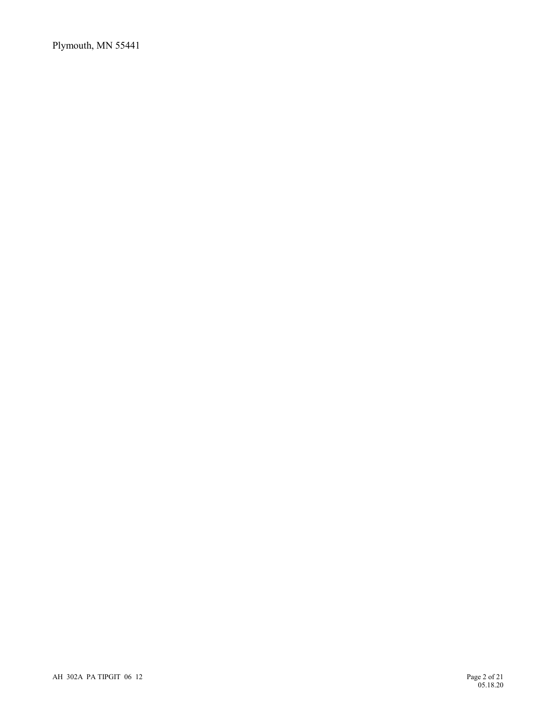Plymouth, MN 55441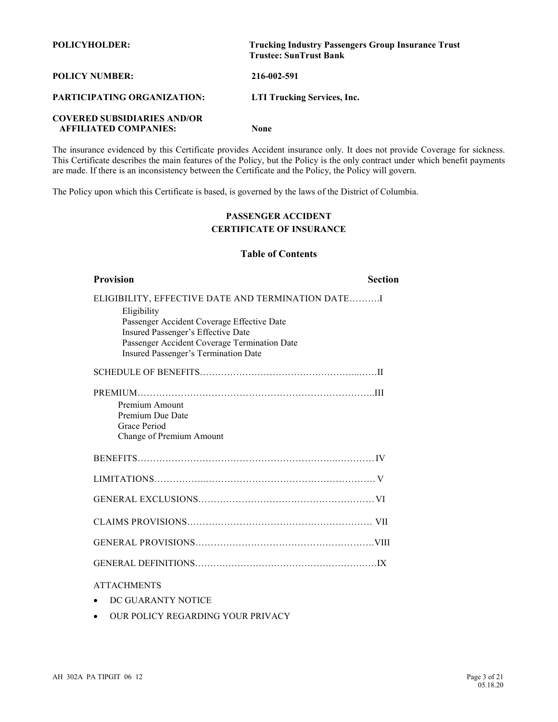| <b>POLICYHOLDER:</b>                                               | <b>Trucking Industry Passengers Group Insurance Trust</b><br><b>Trustee: SunTrust Bank</b> |
|--------------------------------------------------------------------|--------------------------------------------------------------------------------------------|
| <b>POLICY NUMBER:</b>                                              | 216-002-591                                                                                |
| <b>PARTICIPATING ORGANIZATION:</b>                                 | LTI Trucking Services, Inc.                                                                |
| <b>COVERED SUBSIDIARIES AND/OR</b><br><b>AFFILIATED COMPANIES:</b> | None                                                                                       |

The insurance evidenced by this Certificate provides Accident insurance only. It does not provide Coverage for sickness. This Certificate describes the main features of the Policy, but the Policy is the only contract under which benefit payments are made. If there is an inconsistency between the Certificate and the Policy, the Policy will govern.

The Policy upon which this Certificate is based, is governed by the laws of the District of Columbia.

### **PASSENGER ACCIDENT CERTIFICATE OF INSURANCE**

#### **Table of Contents**

#### **Provision** Section **Section**

| ELIGIBILITY, EFFECTIVE DATE AND TERMINATION DATEI |
|---------------------------------------------------|
| Eligibility                                       |
| Passenger Accident Coverage Effective Date        |
| Insured Passenger's Effective Date                |
| Passenger Accident Coverage Termination Date      |
| Insured Passenger's Termination Date              |
|                                                   |
|                                                   |
| Premium Amount                                    |
| Premium Due Date                                  |
| Grace Period                                      |
| Change of Premium Amount                          |
|                                                   |
|                                                   |
|                                                   |
|                                                   |
|                                                   |
|                                                   |
|                                                   |
|                                                   |
|                                                   |

#### **ATTACHMENTS**

- DC GUARANTY NOTICE
- OUR POLICY REGARDING YOUR PRIVACY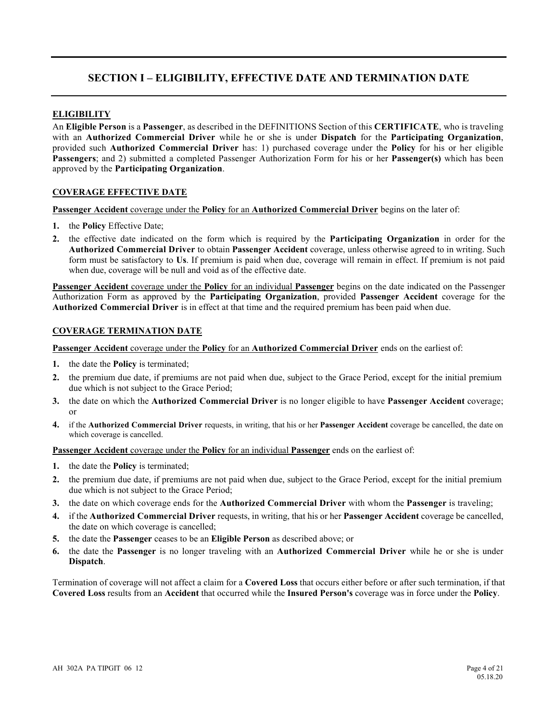# **SECTION I – ELIGIBILITY, EFFECTIVE DATE AND TERMINATION DATE**

#### **ELIGIBILITY**

An **Eligible Person** is a **Passenger**, as described in the DEFINITIONS Section of this **CERTIFICATE**, who is traveling with an **Authorized Commercial Driver** while he or she is under **Dispatch** for the **Participating Organization**, provided such **Authorized Commercial Driver** has: 1) purchased coverage under the **Policy** for his or her eligible **Passengers**; and 2) submitted a completed Passenger Authorization Form for his or her **Passenger(s)** which has been approved by the **Participating Organization**.

#### **COVERAGE EFFECTIVE DATE**

**Passenger Accident** coverage under the **Policy** for an **Authorized Commercial Driver** begins on the later of:

- **1.** the **Policy** Effective Date;
- **2.** the effective date indicated on the form which is required by the **Participating Organization** in order for the **Authorized Commercial Driver** to obtain **Passenger Accident** coverage, unless otherwise agreed to in writing. Such form must be satisfactory to **Us**. If premium is paid when due, coverage will remain in effect. If premium is not paid when due, coverage will be null and void as of the effective date.

**Passenger Accident** coverage under the **Policy** for an individual **Passenger** begins on the date indicated on the Passenger Authorization Form as approved by the **Participating Organization**, provided **Passenger Accident** coverage for the **Authorized Commercial Driver** is in effect at that time and the required premium has been paid when due.

#### **COVERAGE TERMINATION DATE**

**Passenger Accident** coverage under the **Policy** for an **Authorized Commercial Driver** ends on the earliest of:

- **1.** the date the **Policy** is terminated;
- **2.** the premium due date, if premiums are not paid when due, subject to the Grace Period, except for the initial premium due which is not subject to the Grace Period;
- **3.** the date on which the **Authorized Commercial Driver** is no longer eligible to have **Passenger Accident** coverage; or
- **4.** if the **Authorized Commercial Driver** requests, in writing, that his or her **Passenger Accident** coverage be cancelled, the date on which coverage is cancelled.

**Passenger Accident** coverage under the **Policy** for an individual **Passenger** ends on the earliest of:

- **1.** the date the **Policy** is terminated;
- **2.** the premium due date, if premiums are not paid when due, subject to the Grace Period, except for the initial premium due which is not subject to the Grace Period;
- **3.** the date on which coverage ends for the **Authorized Commercial Driver** with whom the **Passenger** is traveling;
- **4.** if the **Authorized Commercial Driver** requests, in writing, that his or her **Passenger Accident** coverage be cancelled, the date on which coverage is cancelled;
- **5.** the date the **Passenger** ceases to be an **Eligible Person** as described above; or
- **6.** the date the **Passenger** is no longer traveling with an **Authorized Commercial Driver** while he or she is under **Dispatch**.

Termination of coverage will not affect a claim for a **Covered Loss** that occurs either before or after such termination, if that **Covered Loss** results from an **Accident** that occurred while the **Insured Person's** coverage was in force under the **Policy**.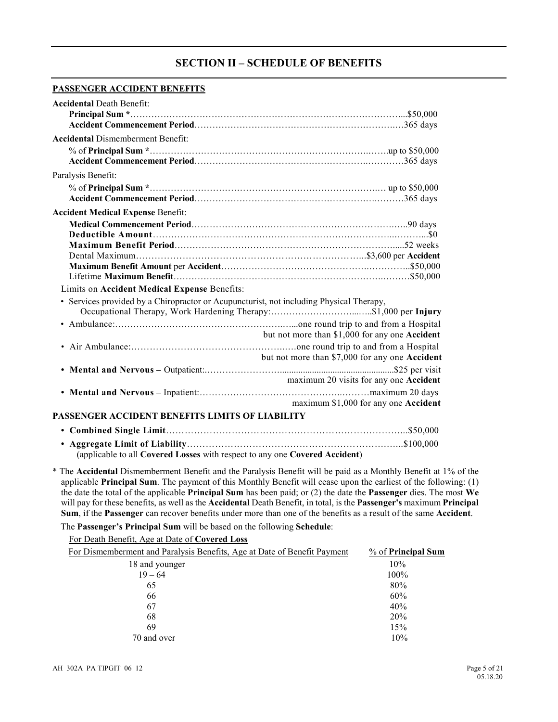# **SECTION II – SCHEDULE OF BENEFITS**

#### **PASSENGER ACCIDENT BENEFITS**

| <b>Accidental Death Benefit:</b>                                                                                                                           |
|------------------------------------------------------------------------------------------------------------------------------------------------------------|
| <b>Accidental Dismemberment Benefit:</b>                                                                                                                   |
|                                                                                                                                                            |
| Paralysis Benefit:                                                                                                                                         |
|                                                                                                                                                            |
| <b>Accident Medical Expense Benefit:</b>                                                                                                                   |
|                                                                                                                                                            |
|                                                                                                                                                            |
|                                                                                                                                                            |
|                                                                                                                                                            |
| Limits on Accident Medical Expense Benefits:                                                                                                               |
| • Services provided by a Chiropractor or Acupuncturist, not including Physical Therapy,<br>Occupational Therapy, Work Hardening Therapy:\$1,000 per Injury |
| but not more than \$1,000 for any one Accident                                                                                                             |
| but not more than \$7,000 for any one Accident                                                                                                             |
| maximum 20 visits for any one Accident                                                                                                                     |
| maximum \$1,000 for any one Accident                                                                                                                       |

#### **PASSENGER ACCIDENT BENEFITS LIMITS OF LIABILITY**

- **Combined Single Limit**…………………………………………………………………...\$50,000 **• Aggregate Limit of Liability**……………………………………………………….…...\$100,000 (applicable to all **Covered Losses** with respect to any one **Covered Accident**)
- \* The **Accidental** Dismemberment Benefit and the Paralysis Benefit will be paid as a Monthly Benefit at 1% of the applicable **Principal Sum**. The payment of this Monthly Benefit will cease upon the earliest of the following: (1) the date the total of the applicable **Principal Sum** has been paid; or (2) the date the **Passenger** dies. The most **We**  will pay for these benefits, as well as the **Accidental** Death Benefit, in total, is the **Passenger's** maximum **Principal Sum**, if the **Passenger** can recover benefits under more than one of the benefits as a result of the same **Accident**.

The **Passenger's Principal Sum** will be based on the following **Schedule**:

| For Death Benefit, Age at Date of Covered Loss                           |                           |
|--------------------------------------------------------------------------|---------------------------|
| For Dismemberment and Paralysis Benefits, Age at Date of Benefit Payment | % of <b>Principal Sum</b> |
| 18 and younger                                                           | 10%                       |
| $19 - 64$                                                                | $100\%$                   |
| 65                                                                       | 80%                       |
| 66                                                                       | 60%                       |
| 67                                                                       | 40%                       |
| 68                                                                       | 20%                       |
| 69                                                                       | 15%                       |
| 70 and over                                                              | 10%                       |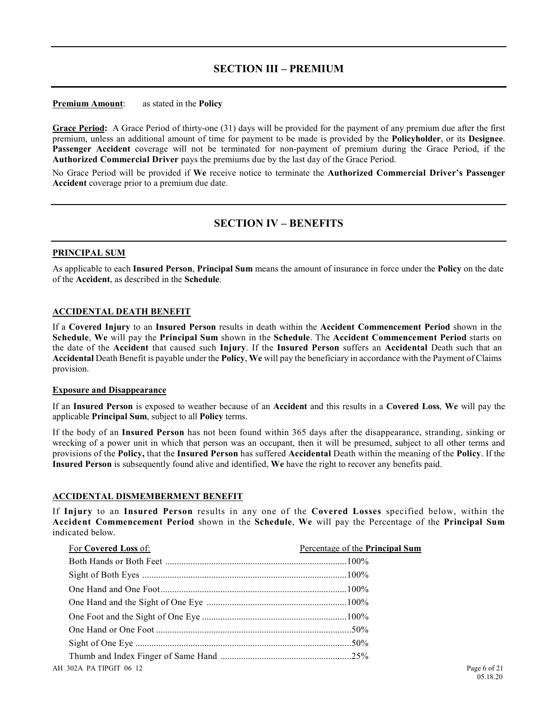### **SECTION III – PREMIUM**

#### **Premium Amount**: as stated in the **Policy**

**Grace Period:** A Grace Period of thirty-one (31) days will be provided for the payment of any premium due after the first premium, unless an additional amount of time for payment to be made is provided by the **Policyholder**, or its **Designee**. **Passenger Accident** coverage will not be terminated for non-payment of premium during the Grace Period, if the **Authorized Commercial Driver** pays the premiums due by the last day of the Grace Period.

No Grace Period will be provided if **We** receive notice to terminate the **Authorized Commercial Driver's Passenger Accident** coverage prior to a premium due date.

# **SECTION IV – BENEFITS**

#### **PRINCIPAL SUM**

As applicable to each **Insured Person**, **Principal Sum** means the amount of insurance in force under the **Policy** on the date of the **Accident**, as described in the **Schedule**.

### **ACCIDENTAL DEATH BENEFIT**

If a **Covered Injury** to an **Insured Person** results in death within the **Accident Commencement Period** shown in the **Schedule**, **We** will pay the **Principal Sum** shown in the **Schedule**. The **Accident Commencement Period** starts on the date of the **Accident** that caused such **Injury**. If the **Insured Person** suffers an **Accidental** Death such that an **Accidental** Death Benefit is payable under the **Policy**, **We** will pay the beneficiary in accordance with the Payment of Claims provision.

#### **Exposure and Disappearance**

If an **Insured Person** is exposed to weather because of an **Accident** and this results in a **Covered Loss**, **We** will pay the applicable **Principal Sum**, subject to all **Policy** terms.

If the body of an **Insured Person** has not been found within 365 days after the disappearance, stranding, sinking or wrecking of a power unit in which that person was an occupant, then it will be presumed, subject to all other terms and provisions of the **Policy,** that the **Insured Person** has suffered **Accidental** Death within the meaning of the **Policy**. If the **Insured Person** is subsequently found alive and identified, **We** have the right to recover any benefits paid.

#### **ACCIDENTAL DISMEMBERMENT BENEFIT**

If **Injury** to an **Insured Person** results in any one of the **Covered Losses** specified below, within the **Accident Commencement Period** shown in the **Schedule**, **We** will pay the Percentage of the **Principal Sum**  indicated below.

| For Covered Loss of:    | Percentage of the Principal Sum |
|-------------------------|---------------------------------|
|                         |                                 |
|                         |                                 |
|                         |                                 |
|                         |                                 |
|                         |                                 |
|                         |                                 |
|                         |                                 |
|                         |                                 |
| AH 302A PA TIPGIT 06 12 | Page 6 of 21<br>05.18.20        |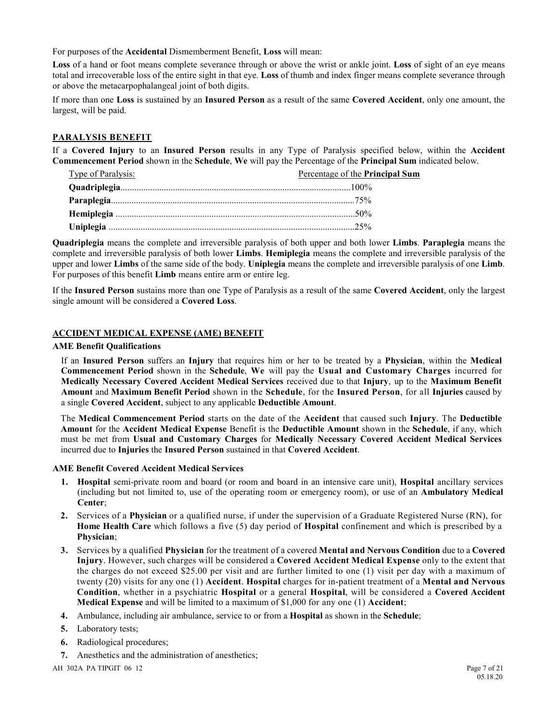For purposes of the **Accidental** Dismemberment Benefit, **Loss** will mean:

**Loss** of a hand or foot means complete severance through or above the wrist or ankle joint. **Loss** of sight of an eye means total and irrecoverable loss of the entire sight in that eye. **Loss** of thumb and index finger means complete severance through or above the metacarpophalangeal joint of both digits.

If more than one **Loss** is sustained by an **Insured Person** as a result of the same **Covered Accident**, only one amount, the largest, will be paid.

#### **PARALYSIS BENEFIT**

If a **Covered Injury** to an **Insured Person** results in any Type of Paralysis specified below, within the **Accident Commencement Period** shown in the **Schedule**, **We** will pay the Percentage of the **Principal Sum** indicated below.

| Type of Paralysis: | Percentage of the Principal Sum |
|--------------------|---------------------------------|
|                    |                                 |
|                    |                                 |
|                    |                                 |
|                    |                                 |

**Quadriplegia** means the complete and irreversible paralysis of both upper and both lower **Limbs**. **Paraplegia** means the complete and irreversible paralysis of both lower **Limbs**. **Hemiplegia** means the complete and irreversible paralysis of the upper and lower **Limbs** of the same side of the body. **Uniplegia** means the complete and irreversible paralysis of one **Limb**. For purposes of this benefit **Limb** means entire arm or entire leg.

If the **Insured Person** sustains more than one Type of Paralysis as a result of the same **Covered Accident**, only the largest single amount will be considered a **Covered Loss**.

#### **ACCIDENT MEDICAL EXPENSE (AME) BENEFIT**

#### **AME Benefit Qualifications**

If an **Insured Person** suffers an **Injury** that requires him or her to be treated by a **Physician**, within the **Medical Commencement Period** shown in the **Schedule**, **We** will pay the **Usual and Customary Charges** incurred for **Medically Necessary Covered Accident Medical Services** received due to that **Injury**, up to the **Maximum Benefit Amount** and **Maximum Benefit Period** shown in the **Schedule**, for the **Insured Person**, for all **Injuries** caused by a single **Covered Accident**, subject to any applicable **Deductible Amount**.

The **Medical Commencement Period** starts on the date of the **Accident** that caused such **Injury**. The **Deductible Amount** for the **Accident Medical Expense** Benefit is the **Deductible Amount** shown in the **Schedule**, if any, which must be met from **Usual and Customary Charges** for **Medically Necessary Covered Accident Medical Services**  incurred due to **Injuries** the **Insured Person** sustained in that **Covered Accident**.

#### **AME Benefit Covered Accident Medical Services**

- **1. Hospital** semi-private room and board (or room and board in an intensive care unit), **Hospital** ancillary services (including but not limited to, use of the operating room or emergency room), or use of an **Ambulatory Medical Center**;
- **2.** Services of a **Physician** or a qualified nurse, if under the supervision of a Graduate Registered Nurse (RN), for **Home Health Care** which follows a five (5) day period of **Hospital** confinement and which is prescribed by a **Physician**;
- **3.** Services by a qualified **Physician** for the treatment of a covered **Mental and Nervous Condition** due to a **Covered Injury**. However, such charges will be considered a **Covered Accident Medical Expense** only to the extent that the charges do not exceed \$25.00 per visit and are further limited to one (1) visit per day with a maximum of twenty (20) visits for any one (1) **Accident**. **Hospital** charges for in-patient treatment of a **Mental and Nervous Condition**, whether in a psychiatric **Hospital** or a general **Hospital**, will be considered a **Covered Accident Medical Expense** and will be limited to a maximum of \$1,000 for any one (1) **Accident**;
- **4.** Ambulance, including air ambulance, service to or from a **Hospital** as shown in the **Schedule**;
- **5.** Laboratory tests;
- **6.** Radiological procedures;
- **7.** Anesthetics and the administration of anesthetics;

AH 302A PA TIPGIT 06 12<br>05.18.20<br>05.18.20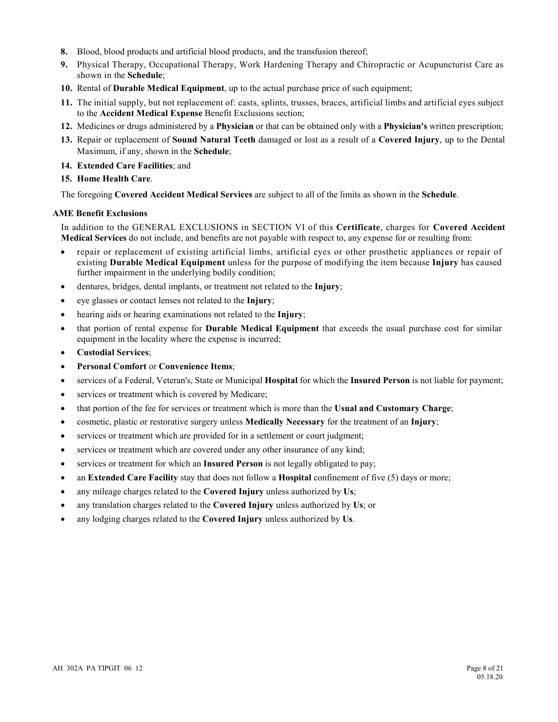- **8.** Blood, blood products and artificial blood products, and the transfusion thereof;
- **9.** Physical Therapy, Occupational Therapy, Work Hardening Therapy and Chiropractic or Acupuncturist Care as shown in the **Schedule**;
- **10.** Rental of **Durable Medical Equipment**, up to the actual purchase price of such equipment;
- **11.** The initial supply, but not replacement of: casts, splints, trusses, braces, artificial limbs and artificial eyes subject to the **Accident Medical Expense** Benefit Exclusions section;
- **12.** Medicines or drugs administered by a **Physician** or that can be obtained only with a **Physician's** written prescription;
- **13.** Repair or replacement of **Sound Natural Teeth** damaged or lost as a result of a **Covered Injury**, up to the Dental Maximum, if any, shown in the **Schedule**;
- **14. Extended Care Facilities**; and
- **15. Home Health Care**.

The foregoing **Covered Accident Medical Services** are subject to all of the limits as shown in the **Schedule**.

#### **AME Benefit Exclusions**

In addition to the GENERAL EXCLUSIONS in SECTION VI of this **Certificate**, charges for **Covered Accident Medical Services** do not include, and benefits are not payable with respect to, any expense for or resulting from:

- repair or replacement of existing artificial limbs, artificial eyes or other prosthetic appliances or repair of existing **Durable Medical Equipment** unless for the purpose of modifying the item because **Injury** has caused further impairment in the underlying bodily condition;
- dentures, bridges, dental implants, or treatment not related to the **Injury**;
- eye glasses or contact lenses not related to the **Injury**;
- hearing aids or hearing examinations not related to the **Injury**;
- that portion of rental expense for **Durable Medical Equipment** that exceeds the usual purchase cost for similar equipment in the locality where the expense is incurred;
- **Custodial Services**;
- **Personal Comfort** or **Convenience Items**;
- services of a Federal, Veteran's, State or Municipal **Hospital** for which the **Insured Person** is not liable for payment;
- services or treatment which is covered by Medicare;
- that portion of the fee for services or treatment which is more than the **Usual and Customary Charge**;
- cosmetic, plastic or restorative surgery unless **Medically Necessary** for the treatment of an **Injury**;
- services or treatment which are provided for in a settlement or court judgment;
- services or treatment which are covered under any other insurance of any kind;
- services or treatment for which an **Insured Person** is not legally obligated to pay;
- an **Extended Care Facility** stay that does not follow a **Hospital** confinement of five (5) days or more;
- any mileage charges related to the **Covered Injury** unless authorized by **Us**;
- any translation charges related to the **Covered Injury** unless authorized by **Us**; or
- any lodging charges related to the **Covered Injury** unless authorized by **Us**.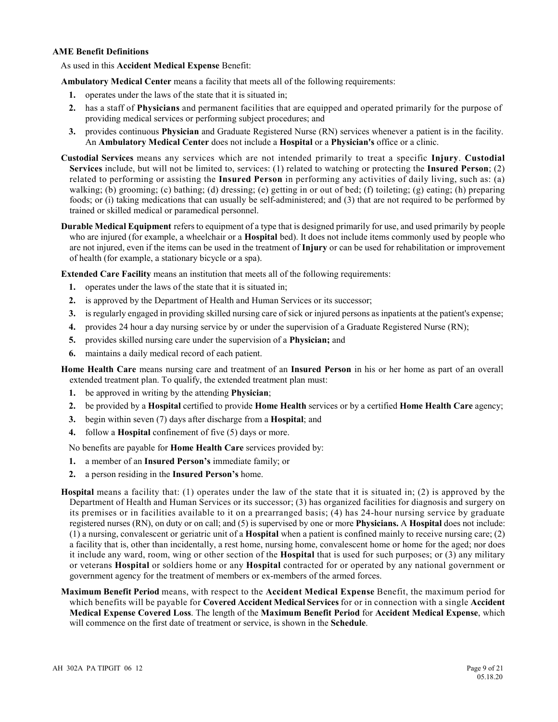#### **AME Benefit Definitions**

As used in this **Accident Medical Expense** Benefit:

**Ambulatory Medical Center** means a facility that meets all of the following requirements:

- **1.** operates under the laws of the state that it is situated in;
- **2.** has a staff of **Physicians** and permanent facilities that are equipped and operated primarily for the purpose of providing medical services or performing subject procedures; and
- **3.** provides continuous **Physician** and Graduate Registered Nurse (RN) services whenever a patient is in the facility. An **Ambulatory Medical Center** does not include a **Hospital** or a **Physician's** office or a clinic.
- **Custodial Services** means any services which are not intended primarily to treat a specific **Injury**. **Custodial Services** include, but will not be limited to, services: (1) related to watching or protecting the **Insured Person**; (2) related to performing or assisting the **Insured Person** in performing any activities of daily living, such as: (a) walking; (b) grooming; (c) bathing; (d) dressing; (e) getting in or out of bed; (f) toileting; (g) eating; (h) preparing foods; or (i) taking medications that can usually be self-administered; and (3) that are not required to be performed by trained or skilled medical or paramedical personnel.
- **Durable Medical Equipment** refers to equipment of a type that is designed primarily for use, and used primarily by people who are injured (for example, a wheelchair or a **Hospital** bed). It does not include items commonly used by people who are not injured, even if the items can be used in the treatment of **Injury** or can be used for rehabilitation or improvement of health (for example, a stationary bicycle or a spa).

**Extended Care Facility** means an institution that meets all of the following requirements:

- **1.** operates under the laws of the state that it is situated in;
- **2.** is approved by the Department of Health and Human Services or its successor;
- **3.** is regularly engaged in providing skilled nursing care of sick or injured persons as inpatients at the patient's expense;
- **4.** provides 24 hour a day nursing service by or under the supervision of a Graduate Registered Nurse (RN);
- **5.** provides skilled nursing care under the supervision of a **Physician;** and
- **6.** maintains a daily medical record of each patient.

**Home Health Care** means nursing care and treatment of an **Insured Person** in his or her home as part of an overall extended treatment plan. To qualify, the extended treatment plan must:

- **1.** be approved in writing by the attending **Physician**;
- **2.** be provided by a **Hospital** certified to provide **Home Health** services or by a certified **Home Health Care** agency;
- **3.** begin within seven (7) days after discharge from a **Hospital**; and
- **4.** follow a **Hospital** confinement of five (5) days or more.

No benefits are payable for **Home Health Care** services provided by:

- **1.** a member of an **Insured Person's** immediate family; or
- **2.** a person residing in the **Insured Person's** home.
- **Hospital** means a facility that: (1) operates under the law of the state that it is situated in; (2) is approved by the Department of Health and Human Services or its successor; (3) has organized facilities for diagnosis and surgery on its premises or in facilities available to it on a prearranged basis; (4) has 24-hour nursing service by graduate registered nurses (RN), on duty or on call; and (5) is supervised by one or more **Physicians.** A **Hospital** does not include: (1) a nursing, convalescent or geriatric unit of a **Hospital** when a patient is confined mainly to receive nursing care; (2) a facility that is, other than incidentally, a rest home, nursing home, convalescent home or home for the aged; nor does it include any ward, room, wing or other section of the **Hospital** that is used for such purposes; or (3) any military or veterans **Hospital** or soldiers home or any **Hospital** contracted for or operated by any national government or government agency for the treatment of members or ex-members of the armed forces.
- **Maximum Benefit Period** means, with respect to the **Accident Medical Expense** Benefit, the maximum period for which benefits will be payable for **Covered Accident Medical Services** for or in connection with a single **Accident Medical Expense Covered Loss**. The length of the **Maximum Benefit Period** for **Accident Medical Expense**, which will commence on the first date of treatment or service, is shown in the **Schedule**.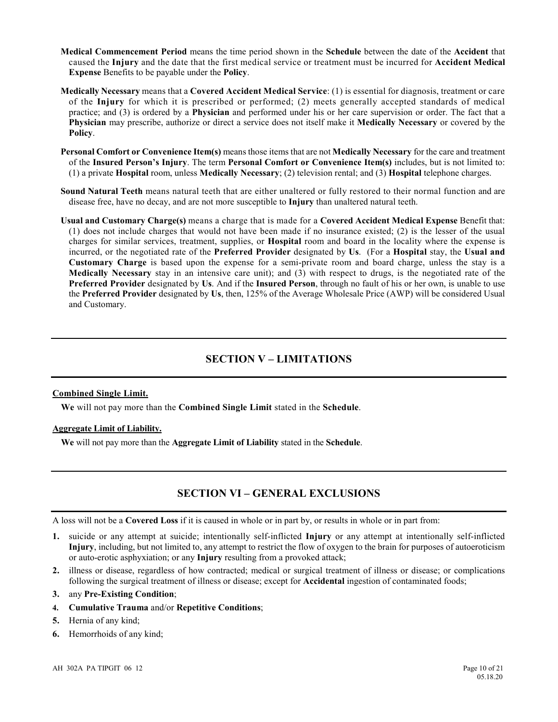- **Medical Commencement Period** means the time period shown in the **Schedule** between the date of the **Accident** that caused the **Injury** and the date that the first medical service or treatment must be incurred for **Accident Medical Expense** Benefits to be payable under the **Policy**.
- **Medically Necessary** means that a **Covered Accident Medical Service**: (1) is essential for diagnosis, treatment or care of the **Injury** for which it is prescribed or performed; (2) meets generally accepted standards of medical practice; and (3) is ordered by a **Physician** and performed under his or her care supervision or order. The fact that a **Physician** may prescribe, authorize or direct a service does not itself make it **Medically Necessary** or covered by the **Policy**.
- **Personal Comfort or Convenience Item(s)** means those items that are not **Medically Necessary** for the care and treatment of the **Insured Person's Injury**. The term **Personal Comfort or Convenience Item(s)** includes, but is not limited to: (1) a private **Hospital** room, unless **Medically Necessary**; (2) television rental; and (3) **Hospital** telephone charges.
- **Sound Natural Teeth** means natural teeth that are either unaltered or fully restored to their normal function and are disease free, have no decay, and are not more susceptible to **Injury** than unaltered natural teeth.

**Usual and Customary Charge(s)** means a charge that is made for a **Covered Accident Medical Expense** Benefit that: (1) does not include charges that would not have been made if no insurance existed; (2) is the lesser of the usual charges for similar services, treatment, supplies, or **Hospital** room and board in the locality where the expense is incurred, or the negotiated rate of the **Preferred Provider** designated by **Us**. (For a **Hospital** stay, the **Usual and Customary Charge** is based upon the expense for a semi-private room and board charge, unless the stay is a **Medically Necessary** stay in an intensive care unit); and (3) with respect to drugs, is the negotiated rate of the **Preferred Provider** designated by **Us**. And if the **Insured Person**, through no fault of his or her own, is unable to use the **Preferred Provider** designated by **Us**, then, 125% of the Average Wholesale Price (AWP) will be considered Usual and Customary.

# **SECTION V – LIMITATIONS**

#### **Combined Single Limit.**

**We** will not pay more than the **Combined Single Limit** stated in the **Schedule**.

#### **Aggregate Limit of Liability.**

**We** will not pay more than the **Aggregate Limit of Liability** stated in the **Schedule**.

# **SECTION VI – GENERAL EXCLUSIONS**

A loss will not be a **Covered Loss** if it is caused in whole or in part by, or results in whole or in part from:

- **1.** suicide or any attempt at suicide; intentionally self-inflicted **Injury** or any attempt at intentionally self-inflicted **Injury**, including, but not limited to, any attempt to restrict the flow of oxygen to the brain for purposes of autoeroticism or auto-erotic asphyxiation; or any **Injury** resulting from a provoked attack;
- **2.** illness or disease, regardless of how contracted; medical or surgical treatment of illness or disease; or complications following the surgical treatment of illness or disease; except for **Accidental** ingestion of contaminated foods;
- **3.** any **Pre-Existing Condition**;
- **4. Cumulative Trauma** and/or **Repetitive Conditions**;
- **5.** Hernia of any kind;
- **6.** Hemorrhoids of any kind;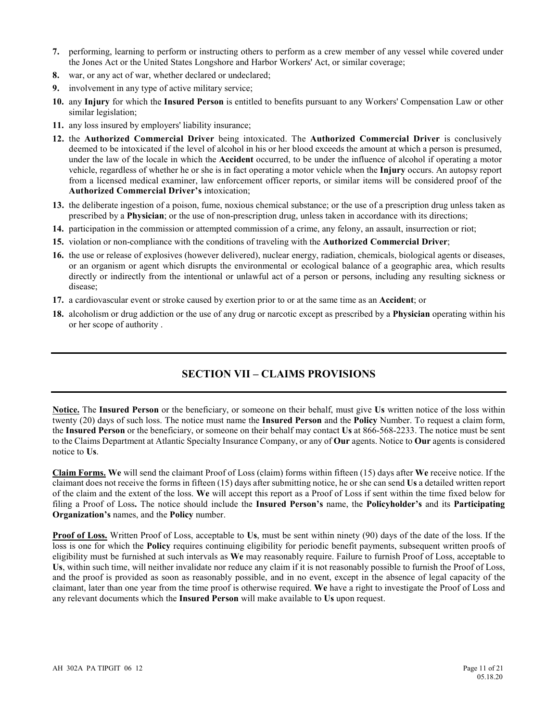- **7.** performing, learning to perform or instructing others to perform as a crew member of any vessel while covered under the Jones Act or the United States Longshore and Harbor Workers' Act, or similar coverage;
- 8. war, or any act of war, whether declared or undeclared;
- **9.** involvement in any type of active military service;
- **10.** any **Injury** for which the **Insured Person** is entitled to benefits pursuant to any Workers' Compensation Law or other similar legislation;
- **11.** any loss insured by employers' liability insurance;
- **12.** the **Authorized Commercial Driver** being intoxicated. The **Authorized Commercial Driver** is conclusively deemed to be intoxicated if the level of alcohol in his or her blood exceeds the amount at which a person is presumed, under the law of the locale in which the **Accident** occurred, to be under the influence of alcohol if operating a motor vehicle, regardless of whether he or she is in fact operating a motor vehicle when the **Injury** occurs. An autopsy report from a licensed medical examiner, law enforcement officer reports, or similar items will be considered proof of the **Authorized Commercial Driver's** intoxication;
- **13.** the deliberate ingestion of a poison, fume, noxious chemical substance; or the use of a prescription drug unless taken as prescribed by a **Physician**; or the use of non-prescription drug, unless taken in accordance with its directions;
- **14.** participation in the commission or attempted commission of a crime, any felony, an assault, insurrection or riot;
- **15.** violation or non-compliance with the conditions of traveling with the **Authorized Commercial Driver**;
- **16.** the use or release of explosives (however delivered), nuclear energy, radiation, chemicals, biological agents or diseases, or an organism or agent which disrupts the environmental or ecological balance of a geographic area, which results directly or indirectly from the intentional or unlawful act of a person or persons, including any resulting sickness or disease;
- **17.** a cardiovascular event or stroke caused by exertion prior to or at the same time as an **Accident**; or
- **18.** alcoholism or drug addiction or the use of any drug or narcotic except as prescribed by a **Physician** operating within his or her scope of authority .

# **SECTION VII – CLAIMS PROVISIONS**

**Notice.** The **Insured Person** or the beneficiary, or someone on their behalf, must give **Us** written notice of the loss within twenty (20) days of such loss. The notice must name the **Insured Person** and the **Policy** Number. To request a claim form, the **Insured Person** or the beneficiary, or someone on their behalf may contact **Us** at 866-568-2233. The notice must be sent to the Claims Department at Atlantic Specialty Insurance Company, or any of **Our** agents. Notice to **Our** agents is considered notice to **Us**.

**Claim Forms. We** will send the claimant Proof of Loss (claim) forms within fifteen (15) days after **We** receive notice. If the claimant does not receive the forms in fifteen (15) days after submitting notice, he or she can send **Us** a detailed written report of the claim and the extent of the loss. **We** will accept this report as a Proof of Loss if sent within the time fixed below for filing a Proof of Loss**.** The notice should include the **Insured Person's** name, the **Policyholder's** and its **Participating Organization's** names, and the **Policy** number.

**Proof of Loss.** Written Proof of Loss, acceptable to **Us**, must be sent within ninety (90) days of the date of the loss. If the loss is one for which the **Policy** requires continuing eligibility for periodic benefit payments, subsequent written proofs of eligibility must be furnished at such intervals as **We** may reasonably require. Failure to furnish Proof of Loss, acceptable to **Us**, within such time, will neither invalidate nor reduce any claim if it is not reasonably possible to furnish the Proof of Loss, and the proof is provided as soon as reasonably possible, and in no event, except in the absence of legal capacity of the claimant, later than one year from the time proof is otherwise required. **We** have a right to investigate the Proof of Loss and any relevant documents which the **Insured Person** will make available to **Us** upon request.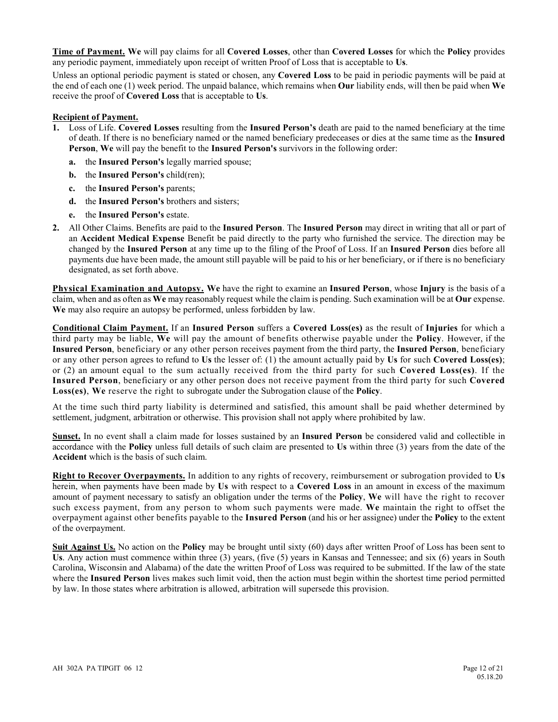**Time of Payment. We** will pay claims for all **Covered Losses**, other than **Covered Losses** for which the **Policy** provides any periodic payment, immediately upon receipt of written Proof of Loss that is acceptable to **Us**.

Unless an optional periodic payment is stated or chosen, any **Covered Loss** to be paid in periodic payments will be paid at the end of each one (1) week period. The unpaid balance, which remains when **Our** liability ends, will then be paid when **We**  receive the proof of **Covered Loss** that is acceptable to **Us**.

#### **Recipient of Payment.**

- **1.** Loss of Life. **Covered Losses** resulting from the **Insured Person's** death are paid to the named beneficiary at the time of death. If there is no beneficiary named or the named beneficiary predeceases or dies at the same time as the **Insured Person**, **We** will pay the benefit to the **Insured Person's** survivors in the following order:
	- **a.** the **Insured Person's** legally married spouse;
	- **b.** the **Insured Person's** child(ren);
	- **c.** the **Insured Person's** parents;
	- **d.** the **Insured Person's** brothers and sisters;
	- **e.** the **Insured Person's** estate.
- **2.** All Other Claims. Benefits are paid to the **Insured Person**. The **Insured Person** may direct in writing that all or part of an **Accident Medical Expense** Benefit be paid directly to the party who furnished the service. The direction may be changed by the **Insured Person** at any time up to the filing of the Proof of Loss. If an **Insured Person** dies before all payments due have been made, the amount still payable will be paid to his or her beneficiary, or if there is no beneficiary designated, as set forth above.

**Physical Examination and Autopsy. We** have the right to examine an **Insured Person**, whose **Injury** is the basis of a claim, when and as often as **We** may reasonably request while the claim is pending. Such examination will be at **Our** expense. **We** may also require an autopsy be performed, unless forbidden by law.

**Conditional Claim Payment.** If an **Insured Person** suffers a **Covered Loss(es)** as the result of **Injuries** for which a third party may be liable, **We** will pay the amount of benefits otherwise payable under the **Policy**. However, if the **Insured Person**, beneficiary or any other person receives payment from the third party, the **Insured Person**, beneficiary or any other person agrees to refund to **Us** the lesser of: (1) the amount actually paid by **Us** for such **Covered Loss(es)**; or (2) an amount equal to the sum actually received from the third party for such **Covered Loss(es)**. If the **Insured Person**, beneficiary or any other person does not receive payment from the third party for such **Covered Loss(es)**, **We** reserve the right to subrogate under the Subrogation clause of the **Policy**.

At the time such third party liability is determined and satisfied, this amount shall be paid whether determined by settlement, judgment, arbitration or otherwise. This provision shall not apply where prohibited by law.

**Sunset.** In no event shall a claim made for losses sustained by an **Insured Person** be considered valid and collectible in accordance with the **Policy** unless full details of such claim are presented to **Us** within three (3) years from the date of the **Accident** which is the basis of such claim.

**Right to Recover Overpayments.** In addition to any rights of recovery, reimbursement or subrogation provided to **Us**  herein, when payments have been made by **Us** with respect to a **Covered Loss** in an amount in excess of the maximum amount of payment necessary to satisfy an obligation under the terms of the **Policy**, **We** will have the right to recover such excess payment, from any person to whom such payments were made. **We** maintain the right to offset the overpayment against other benefits payable to the **Insured Person** (and his or her assignee) under the **Policy** to the extent of the overpayment.

**Suit Against Us.** No action on the **Policy** may be brought until sixty (60) days after written Proof of Loss has been sent to **Us**. Any action must commence within three (3) years, (five (5) years in Kansas and Tennessee; and six (6) years in South Carolina, Wisconsin and Alabama) of the date the written Proof of Loss was required to be submitted. If the law of the state where the **Insured Person** lives makes such limit void, then the action must begin within the shortest time period permitted by law. In those states where arbitration is allowed, arbitration will supersede this provision.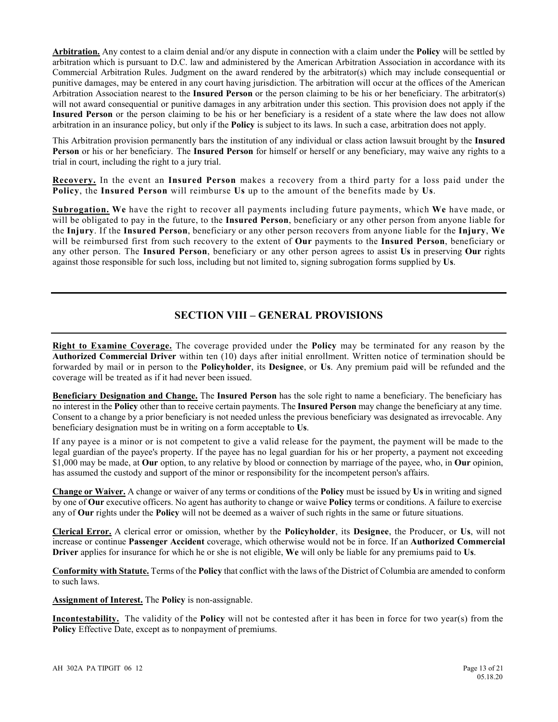**Arbitration.** Any contest to a claim denial and/or any dispute in connection with a claim under the **Policy** will be settled by arbitration which is pursuant to D.C. law and administered by the American Arbitration Association in accordance with its Commercial Arbitration Rules. Judgment on the award rendered by the arbitrator(s) which may include consequential or punitive damages, may be entered in any court having jurisdiction. The arbitration will occur at the offices of the American Arbitration Association nearest to the **Insured Person** or the person claiming to be his or her beneficiary. The arbitrator(s) will not award consequential or punitive damages in any arbitration under this section. This provision does not apply if the **Insured Person** or the person claiming to be his or her beneficiary is a resident of a state where the law does not allow arbitration in an insurance policy, but only if the **Policy** is subject to its laws. In such a case, arbitration does not apply.

This Arbitration provision permanently bars the institution of any individual or class action lawsuit brought by the **Insured Person** or his or her beneficiary. The **Insured Person** for himself or herself or any beneficiary, may waive any rights to a trial in court, including the right to a jury trial.

**Recovery.** In the event an **Insured Person** makes a recovery from a third party for a loss paid under the **Policy**, the **Insured Person** will reimburse **Us** up to the amount of the benefits made by **Us**.

**Subrogation. We** have the right to recover all payments including future payments, which **We** have made, or will be obligated to pay in the future, to the **Insured Person**, beneficiary or any other person from anyone liable for the **Injury**. If the **Insured Person**, beneficiary or any other person recovers from anyone liable for the **Injury**, **We**  will be reimbursed first from such recovery to the extent of **Our** payments to the **Insured Person**, beneficiary or any other person. The **Insured Person**, beneficiary or any other person agrees to assist **Us** in preserving **Our** rights against those responsible for such loss, including but not limited to, signing subrogation forms supplied by **Us**.

## **SECTION VIII – GENERAL PROVISIONS**

**Right to Examine Coverage.** The coverage provided under the **Policy** may be terminated for any reason by the **Authorized Commercial Driver** within ten (10) days after initial enrollment. Written notice of termination should be forwarded by mail or in person to the **Policyholder**, its **Designee**, or **Us**. Any premium paid will be refunded and the coverage will be treated as if it had never been issued.

**Beneficiary Designation and Change.** The **Insured Person** has the sole right to name a beneficiary. The beneficiary has no interest in the **Policy** other than to receive certain payments. The **Insured Person** may change the beneficiary at any time. Consent to a change by a prior beneficiary is not needed unless the previous beneficiary was designated as irrevocable. Any beneficiary designation must be in writing on a form acceptable to **Us**.

If any payee is a minor or is not competent to give a valid release for the payment, the payment will be made to the legal guardian of the payee's property. If the payee has no legal guardian for his or her property, a payment not exceeding \$1,000 may be made, at **Our** option, to any relative by blood or connection by marriage of the payee, who, in **Our** opinion, has assumed the custody and support of the minor or responsibility for the incompetent person's affairs.

**Change or Waiver.** A change or waiver of any terms or conditions of the **Policy** must be issued by **Us** in writing and signed by one of **Our** executive officers. No agent has authority to change or waive **Policy** terms or conditions. A failure to exercise any of **Our** rights under the **Policy** will not be deemed as a waiver of such rights in the same or future situations.

**Clerical Error.** A clerical error or omission, whether by the **Policyholder**, its **Designee**, the Producer, or **Us**, will not increase or continue **Passenger Accident** coverage, which otherwise would not be in force. If an **Authorized Commercial Driver** applies for insurance for which he or she is not eligible, **We** will only be liable for any premiums paid to **Us**.

**Conformity with Statute.** Terms of the **Policy** that conflict with the laws of the District of Columbia are amended to conform to such laws.

**Assignment of Interest.** The **Policy** is non-assignable.

**Incontestability.** The validity of the **Policy** will not be contested after it has been in force for two year(s) from the **Policy** Effective Date, except as to nonpayment of premiums.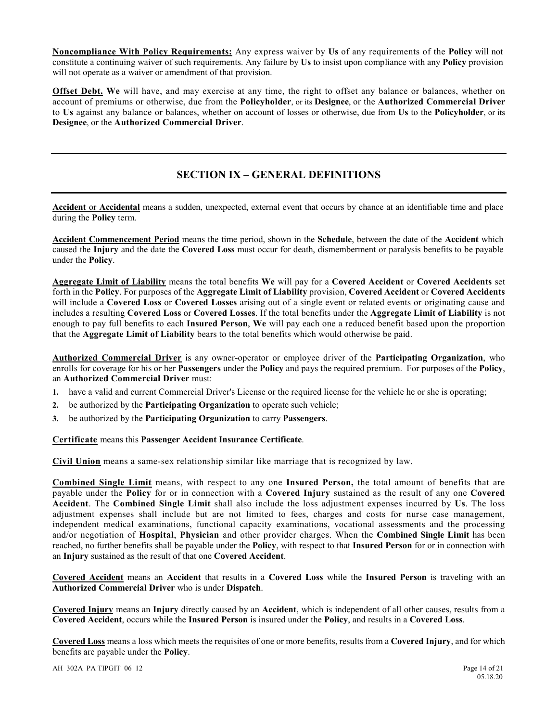**Noncompliance With Policy Requirements:** Any express waiver by **Us** of any requirements of the **Policy** will not constitute a continuing waiver of such requirements. Any failure by **Us** to insist upon compliance with any **Policy** provision will not operate as a waiver or amendment of that provision.

**Offset Debt. We** will have, and may exercise at any time, the right to offset any balance or balances, whether on account of premiums or otherwise, due from the **Policyholder**, or its **Designee**, or the **Authorized Commercial Driver** to **Us** against any balance or balances, whether on account of losses or otherwise, due from **Us** to the **Policyholder**, or its **Designee**, or the **Authorized Commercial Driver**.

# **SECTION IX – GENERAL DEFINITIONS**

**Accident** or **Accidental** means a sudden, unexpected, external event that occurs by chance at an identifiable time and place during the **Policy** term.

**Accident Commencement Period** means the time period, shown in the **Schedule**, between the date of the **Accident** which caused the **Injury** and the date the **Covered Loss** must occur for death, dismemberment or paralysis benefits to be payable under the **Policy**.

**Aggregate Limit of Liability** means the total benefits **We** will pay for a **Covered Accident** or **Covered Accidents** set forth in the **Policy**. For purposes of the **Aggregate Limit of Liability** provision, **Covered Accident** or **Covered Accidents** will include a **Covered Loss** or **Covered Losses** arising out of a single event or related events or originating cause and includes a resulting **Covered Loss** or **Covered Losses**. If the total benefits under the **Aggregate Limit of Liability** is not enough to pay full benefits to each **Insured Person**, **We** will pay each one a reduced benefit based upon the proportion that the **Aggregate Limit of Liability** bears to the total benefits which would otherwise be paid.

**Authorized Commercial Driver** is any owner-operator or employee driver of the **Participating Organization**, who enrolls for coverage for his or her **Passengers** under the **Policy** and pays the required premium.For purposes of the **Policy**, an **Authorized Commercial Driver** must:

- **1.** have a valid and current Commercial Driver's License or the required license for the vehicle he or she is operating;
- **2.** be authorized by the **Participating Organization** to operate such vehicle;
- **3.** be authorized by the **Participating Organization** to carry **Passengers**.

**Certificate** means this **Passenger Accident Insurance Certificate**.

**Civil Union** means a same-sex relationship similar like marriage that is recognized by law.

**Combined Single Limit** means, with respect to any one **Insured Person,** the total amount of benefits that are payable under the **Policy** for or in connection with a **Covered Injury** sustained as the result of any one **Covered Accident**. The **Combined Single Limit** shall also include the loss adjustment expenses incurred by **Us**. The loss adjustment expenses shall include but are not limited to fees, charges and costs for nurse case management, independent medical examinations, functional capacity examinations, vocational assessments and the processing and/or negotiation of **Hospital**, **Physician** and other provider charges. When the **Combined Single Limit** has been reached, no further benefits shall be payable under the **Policy**, with respect to that **Insured Person** for or in connection with an **Injury** sustained as the result of that one **Covered Accident**.

**Covered Accident** means an **Accident** that results in a **Covered Loss** while the **Insured Person** is traveling with an **Authorized Commercial Driver** who is under **Dispatch**.

**Covered Injury** means an **Injury** directly caused by an **Accident**, which is independent of all other causes, results from a **Covered Accident**, occurs while the **Insured Person** is insured under the **Policy**, and results in a **Covered Loss**.

**Covered Loss** means a loss which meets the requisites of one or more benefits, results from a **Covered Injury**, and for which benefits are payable under the **Policy**.

AH 302A PA TIPGIT 06 12<br>05.18.20<br>05.18.20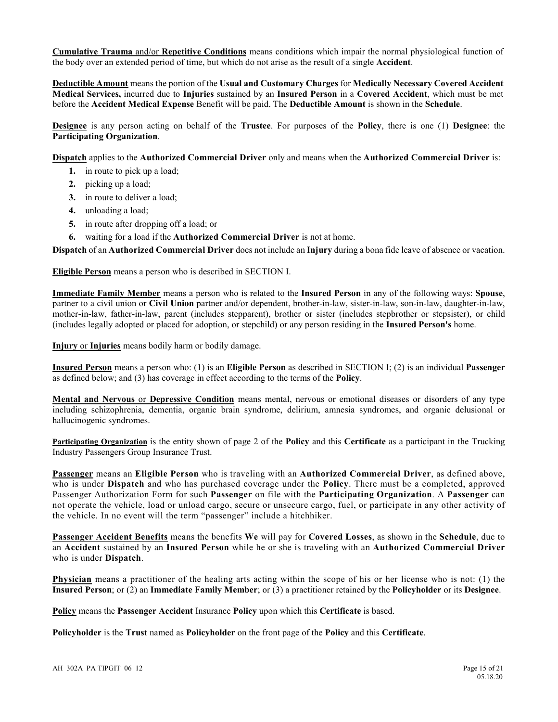**Cumulative Trauma** and/or **Repetitive Conditions** means conditions which impair the normal physiological function of the body over an extended period of time, but which do not arise as the result of a single **Accident**.

**Deductible Amount** means the portion of the **Usual and Customary Charges** for **Medically Necessary Covered Accident Medical Services,** incurred due to **Injuries** sustained by an **Insured Person** in a **Covered Accident**, which must be met before the **Accident Medical Expense** Benefit will be paid. The **Deductible Amount** is shown in the **Schedule**.

**Designee** is any person acting on behalf of the **Trustee**. For purposes of the **Policy**, there is one (1) **Designee**: the **Participating Organization**.

**Dispatch** applies to the **Authorized Commercial Driver** only and means when the **Authorized Commercial Driver** is:

- **1.** in route to pick up a load;
- **2.** picking up a load;
- **3.** in route to deliver a load;
- **4.** unloading a load;
- **5.** in route after dropping off a load; or
- **6.** waiting for a load if the **Authorized Commercial Driver** is not at home.

**Dispatch** of an **Authorized Commercial Driver** does not include an **Injury** during a bona fide leave of absence or vacation.

**Eligible Person** means a person who is described in SECTION I.

**Immediate Family Member** means a person who is related to the **Insured Person** in any of the following ways: **Spouse**, partner to a civil union or **Civil Union** partner and/or dependent, brother-in-law, sister-in-law, son-in-law, daughter-in-law, mother-in-law, father-in-law, parent (includes stepparent), brother or sister (includes stepbrother or stepsister), or child (includes legally adopted or placed for adoption, or stepchild) or any person residing in the **Insured Person's** home.

**Injury** or **Injuries** means bodily harm or bodily damage.

**Insured Person** means a person who: (1) is an **Eligible Person** as described in SECTION I; (2) is an individual **Passenger** as defined below; and (3) has coverage in effect according to the terms of the **Policy**.

**Mental and Nervous** or **Depressive Condition** means mental, nervous or emotional diseases or disorders of any type including schizophrenia, dementia, organic brain syndrome, delirium, amnesia syndromes, and organic delusional or hallucinogenic syndromes.

**Participating Organization** is the entity shown of page 2 of the **Policy** and this **Certificate** as a participant in the Trucking Industry Passengers Group Insurance Trust.

**Passenger** means an **Eligible Person** who is traveling with an **Authorized Commercial Driver**, as defined above, who is under **Dispatch** and who has purchased coverage under the **Policy**. There must be a completed, approved Passenger Authorization Form for such **Passenger** on file with the **Participating Organization**. A **Passenger** can not operate the vehicle, load or unload cargo, secure or unsecure cargo, fuel, or participate in any other activity of the vehicle. In no event will the term "passenger" include a hitchhiker.

**Passenger Accident Benefits** means the benefits **We** will pay for **Covered Losses**, as shown in the **Schedule**, due to an **Accident** sustained by an **Insured Person** while he or she is traveling with an **Authorized Commercial Driver**  who is under **Dispatch**.

**Physician** means a practitioner of the healing arts acting within the scope of his or her license who is not: (1) the **Insured Person**; or (2) an **Immediate Family Member**; or (3) a practitioner retained by the **Policyholder** or its **Designee**.

**Policy** means the **Passenger Accident** Insurance **Policy** upon which this **Certificate** is based.

**Policyholder** is the **Trust** named as **Policyholder** on the front page of the **Policy** and this **Certificate**.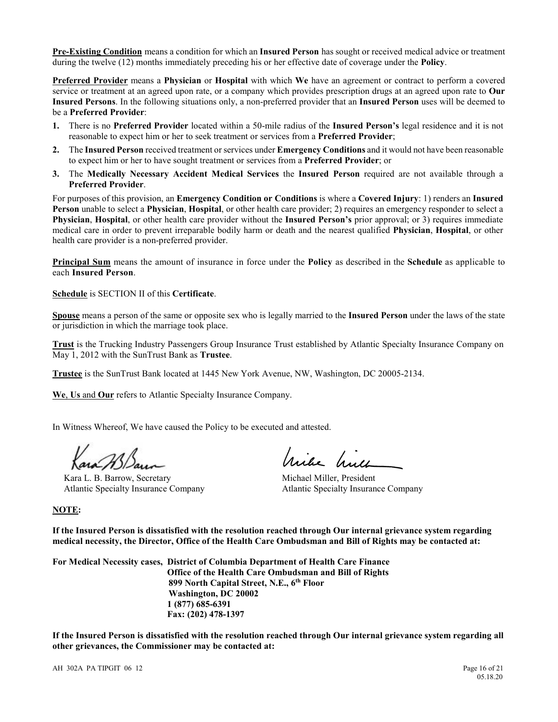**Pre-Existing Condition** means a condition for which an **Insured Person** has sought or received medical advice or treatment during the twelve (12) months immediately preceding his or her effective date of coverage under the **Policy**.

**Preferred Provider** means a **Physician** or **Hospital** with which **We** have an agreement or contract to perform a covered service or treatment at an agreed upon rate, or a company which provides prescription drugs at an agreed upon rate to **Our Insured Persons**. In the following situations only, a non-preferred provider that an **Insured Person** uses will be deemed to be a **Preferred Provider**:

- **1.** There is no **Preferred Provider** located within a 50-mile radius of the **Insured Person's** legal residence and it is not reasonable to expect him or her to seek treatment or services from a **Preferred Provider**;
- **2.** The **Insured Person** received treatment or services under **Emergency Conditions** and it would not have been reasonable to expect him or her to have sought treatment or services from a **Preferred Provider**; or
- **3.** The **Medically Necessary Accident Medical Services** the **Insured Person** required are not available through a **Preferred Provider**.

For purposes of this provision, an **Emergency Condition or Conditions** is where a **Covered Injury**: 1) renders an **Insured Person** unable to select a **Physician**, **Hospital**, or other health care provider; 2) requires an emergency responder to select a **Physician**, **Hospital**, or other health care provider without the **Insured Person's** prior approval; or 3) requires immediate medical care in order to prevent irreparable bodily harm or death and the nearest qualified **Physician**, **Hospital**, or other health care provider is a non-preferred provider.

**Principal Sum** means the amount of insurance in force under the **Policy** as described in the **Schedule** as applicable to each **Insured Person**.

**Schedule** is SECTION II of this **Certificate**.

**Spouse** means a person of the same or opposite sex who is legally married to the **Insured Person** under the laws of the state or jurisdiction in which the marriage took place.

**Trust** is the Trucking Industry Passengers Group Insurance Trust established by Atlantic Specialty Insurance Company on May 1, 2012 with the SunTrust Bank as **Trustee**.

**Trustee** is the SunTrust Bank located at 1445 New York Avenue, NW, Washington, DC 20005-2134.

**We**, **Us** and **Our** refers to Atlantic Specialty Insurance Company.

In Witness Whereof, We have caused the Policy to be executed and attested.

Kara L. B. Barrow, Secretary Michael Miller, President

hira hire

Atlantic Specialty Insurance Company Atlantic Specialty Insurance Company

**NOTE:** 

**If the Insured Person is dissatisfied with the resolution reached through Our internal grievance system regarding medical necessity, the Director, Office of the Health Care Ombudsman and Bill of Rights may be contacted at:**

**For Medical Necessity cases, District of Columbia Department of Health Care Finance Office of the Health Care Ombudsman and Bill of Rights 899 North Capital Street, N.E., 6th Floor Washington, DC 20002 1 (877) 685-6391 Fax: (202) 478-1397** 

**If the Insured Person is dissatisfied with the resolution reached through Our internal grievance system regarding all other grievances, the Commissioner may be contacted at:**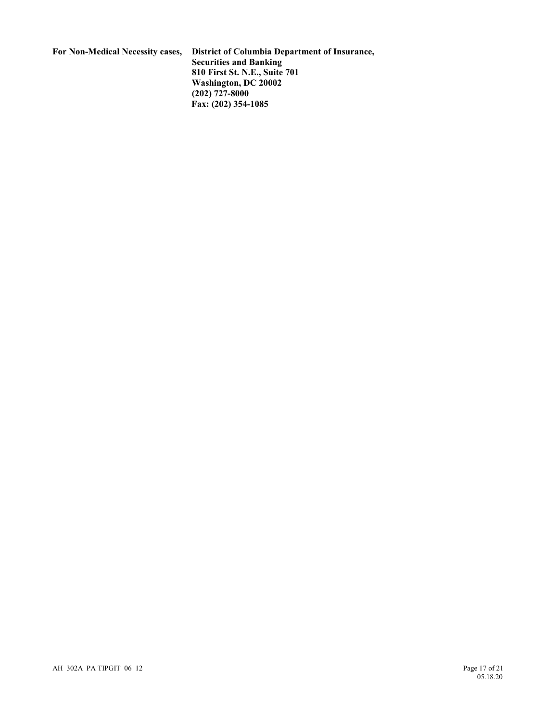|  |  |  | For Non-Medical Necessity cases, |  |
|--|--|--|----------------------------------|--|
|--|--|--|----------------------------------|--|

**District of Columbia Department of Insurance, Securities and Banking 810 First St. N.E., Suite 701 Washington, DC 20002 (202) 727-8000 Fax: (202) 354-1085**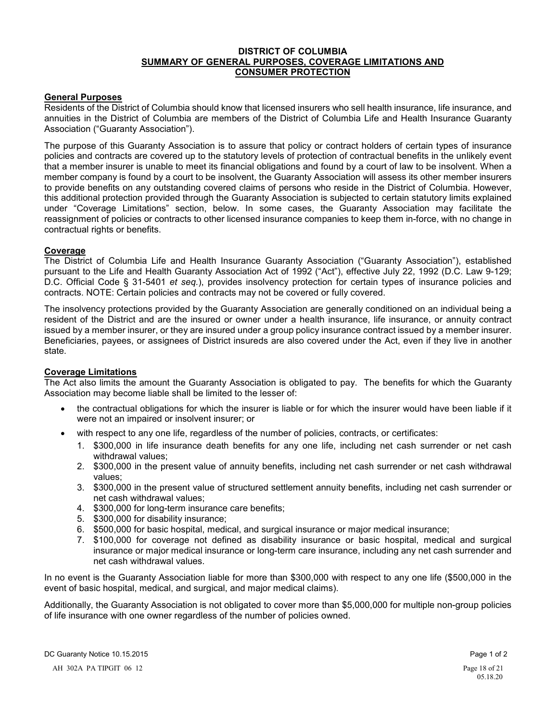#### **DISTRICT OF COLUMBIA SUMMARY OF GENERAL PURPOSES, COVERAGE LIMITATIONS AND CONSUMER PROTECTION**

#### **General Purposes**

Residents of the District of Columbia should know that licensed insurers who sell health insurance, life insurance, and annuities in the District of Columbia are members of the District of Columbia Life and Health Insurance Guaranty Association ("Guaranty Association").

The purpose of this Guaranty Association is to assure that policy or contract holders of certain types of insurance policies and contracts are covered up to the statutory levels of protection of contractual benefits in the unlikely event that a member insurer is unable to meet its financial obligations and found by a court of law to be insolvent. When a member company is found by a court to be insolvent, the Guaranty Association will assess its other member insurers to provide benefits on any outstanding covered claims of persons who reside in the District of Columbia. However, this additional protection provided through the Guaranty Association is subjected to certain statutory limits explained under "Coverage Limitations" section, below. In some cases, the Guaranty Association may facilitate the reassignment of policies or contracts to other licensed insurance companies to keep them in-force, with no change in contractual rights or benefits.

#### **Coverage**

The District of Columbia Life and Health Insurance Guaranty Association ("Guaranty Association"), established pursuant to the Life and Health Guaranty Association Act of 1992 ("Act"), effective July 22, 1992 (D.C. Law 9-129; D.C. Official Code § 31-5401 *et seq.*), provides insolvency protection for certain types of insurance policies and contracts. NOTE: Certain policies and contracts may not be covered or fully covered.

The insolvency protections provided by the Guaranty Association are generally conditioned on an individual being a resident of the District and are the insured or owner under a health insurance, life insurance, or annuity contract issued by a member insurer, or they are insured under a group policy insurance contract issued by a member insurer. Beneficiaries, payees, or assignees of District insureds are also covered under the Act, even if they live in another state.

#### **Coverage Limitations**

The Act also limits the amount the Guaranty Association is obligated to pay. The benefits for which the Guaranty Association may become liable shall be limited to the lesser of:

- the contractual obligations for which the insurer is liable or for which the insurer would have been liable if it were not an impaired or insolvent insurer; or
- with respect to any one life, regardless of the number of policies, contracts, or certificates:
	- 1. \$300,000 in life insurance death benefits for any one life, including net cash surrender or net cash withdrawal values;
	- 2. \$300,000 in the present value of annuity benefits, including net cash surrender or net cash withdrawal values;
	- 3. \$300,000 in the present value of structured settlement annuity benefits, including net cash surrender or net cash withdrawal values;
	- 4. \$300,000 for long-term insurance care benefits;
	- 5. \$300,000 for disability insurance;
	- 6. \$500,000 for basic hospital, medical, and surgical insurance or major medical insurance;
	- 7. \$100,000 for coverage not defined as disability insurance or basic hospital, medical and surgical insurance or major medical insurance or long-term care insurance, including any net cash surrender and net cash withdrawal values.

In no event is the Guaranty Association liable for more than \$300,000 with respect to any one life (\$500,000 in the event of basic hospital, medical, and surgical, and major medical claims).

Additionally, the Guaranty Association is not obligated to cover more than \$5,000,000 for multiple non-group policies of life insurance with one owner regardless of the number of policies owned.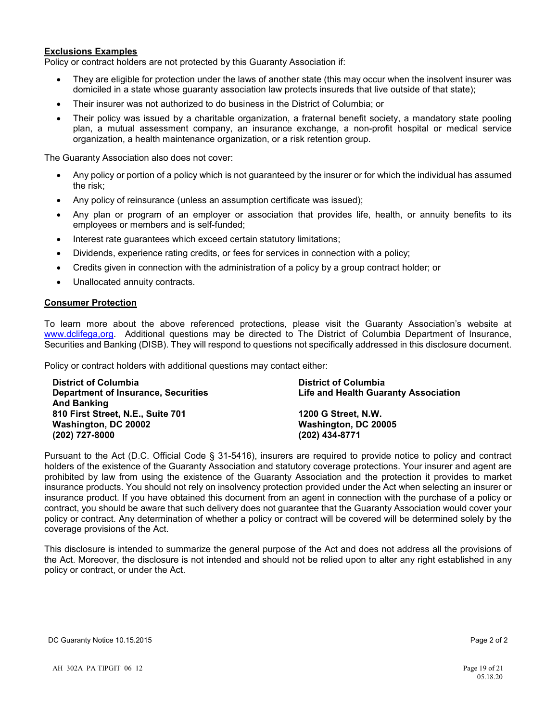#### **Exclusions Examples**

Policy or contract holders are not protected by this Guaranty Association if:

- They are eligible for protection under the laws of another state (this may occur when the insolvent insurer was domiciled in a state whose guaranty association law protects insureds that live outside of that state);
- Their insurer was not authorized to do business in the District of Columbia; or
- Their policy was issued by a charitable organization, a fraternal benefit society, a mandatory state pooling plan, a mutual assessment company, an insurance exchange, a non-profit hospital or medical service organization, a health maintenance organization, or a risk retention group.

The Guaranty Association also does not cover:

- Any policy or portion of a policy which is not guaranteed by the insurer or for which the individual has assumed the risk;
- Any policy of reinsurance (unless an assumption certificate was issued);
- Any plan or program of an employer or association that provides life, health, or annuity benefits to its employees or members and is self-funded;
- Interest rate quarantees which exceed certain statutory limitations;
- Dividends, experience rating credits, or fees for services in connection with a policy;
- Credits given in connection with the administration of a policy by a group contract holder; or
- Unallocated annuity contracts.

#### **Consumer Protection**

To learn more about the above referenced protections, please visit the Guaranty Association's website at www.dclifega,org. Additional questions may be directed to The District of Columbia Department of Insurance, Securities and Banking (DISB). They will respond to questions not specifically addressed in this disclosure document.

Policy or contract holders with additional questions may contact either:

| <b>District of Columbia</b>                | <b>District of Columbia</b>                 |
|--------------------------------------------|---------------------------------------------|
| <b>Department of Insurance, Securities</b> | <b>Life and Health Guaranty Association</b> |
| <b>And Banking</b>                         |                                             |
| 810 First Street, N.E., Suite 701          | 1200 G Street, N.W.                         |
| Washington, DC 20002                       | Washington, DC 20005                        |
| $(202)$ 727-8000                           | (202) 434-8771                              |

Pursuant to the Act (D.C. Official Code § 31-5416), insurers are required to provide notice to policy and contract holders of the existence of the Guaranty Association and statutory coverage protections. Your insurer and agent are prohibited by law from using the existence of the Guaranty Association and the protection it provides to market insurance products. You should not rely on insolvency protection provided under the Act when selecting an insurer or insurance product. If you have obtained this document from an agent in connection with the purchase of a policy or contract, you should be aware that such delivery does not guarantee that the Guaranty Association would cover your policy or contract. Any determination of whether a policy or contract will be covered will be determined solely by the coverage provisions of the Act.

This disclosure is intended to summarize the general purpose of the Act and does not address all the provisions of the Act. Moreover, the disclosure is not intended and should not be relied upon to alter any right established in any policy or contract, or under the Act.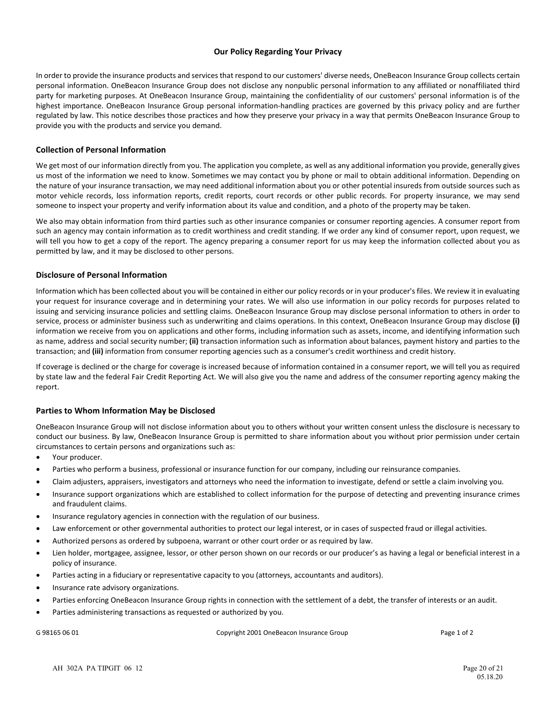#### **Our Policy Regarding Your Privacy**

In order to provide the insurance products and services that respond to our customers' diverse needs, OneBeacon Insurance Group collects certain personal information. OneBeacon Insurance Group does not disclose any nonpublic personal information to any affiliated or nonaffiliated third party for marketing purposes. At OneBeacon Insurance Group, maintaining the confidentiality of our customers' personal information is of the highest importance. OneBeacon Insurance Group personal information-handling practices are governed by this privacy policy and are further regulated by law. This notice describes those practices and how they preserve your privacy in a way that permits OneBeacon Insurance Group to provide you with the products and service you demand.

#### **Collection of Personal Information**

We get most of our information directly from you. The application you complete, as well as any additional information you provide, generally gives us most of the information we need to know. Sometimes we may contact you by phone or mail to obtain additional information. Depending on the nature of your insurance transaction, we may need additional information about you or other potential insureds from outside sources such as motor vehicle records, loss information reports, credit reports, court records or other public records. For property insurance, we may send someone to inspect your property and verify information about its value and condition, and a photo of the property may be taken.

We also may obtain information from third parties such as other insurance companies or consumer reporting agencies. A consumer report from such an agency may contain information as to credit worthiness and credit standing. If we order any kind of consumer report, upon request, we will tell you how to get a copy of the report. The agency preparing a consumer report for us may keep the information collected about you as permitted by law, and it may be disclosed to other persons.

#### **Disclosure of Personal Information**

Information which has been collected about you will be contained in either our policy records or in your producer's files. We review it in evaluating your request for insurance coverage and in determining your rates. We will also use information in our policy records for purposes related to issuing and servicing insurance policies and settling claims. OneBeacon Insurance Group may disclose personal information to others in order to service, process or administer business such as underwriting and claims operations. In this context, OneBeacon Insurance Group may disclose **(i)** information we receive from you on applications and other forms, including information such as assets, income, and identifying information such as name, address and social security number; **(ii)** transaction information such as information about balances, payment history and parties to the transaction; and **(iii)** information from consumer reporting agencies such as a consumer's credit worthiness and credit history.

If coverage is declined or the charge for coverage is increased because of information contained in a consumer report, we will tell you as required by state law and the federal Fair Credit Reporting Act. We will also give you the name and address of the consumer reporting agency making the report.

#### **Parties to Whom Information May be Disclosed**

OneBeacon Insurance Group will not disclose information about you to others without your written consent unless the disclosure is necessary to conduct our business. By law, OneBeacon Insurance Group is permitted to share information about you without prior permission under certain circumstances to certain persons and organizations such as:

- Your producer.
- Parties who perform a business, professional or insurance function for our company, including our reinsurance companies.
- Claim adjusters, appraisers, investigators and attorneys who need the information to investigate, defend or settle a claim involving you.
- Insurance support organizations which are established to collect information for the purpose of detecting and preventing insurance crimes and fraudulent claims.
- Insurance regulatory agencies in connection with the regulation of our business.
- Law enforcement or other governmental authorities to protect our legal interest, or in cases of suspected fraud or illegal activities.
- Authorized persons as ordered by subpoena, warrant or other court order or as required by law.
- Lien holder, mortgagee, assignee, lessor, or other person shown on our records or our producer's as having a legal or beneficial interest in a policy of insurance.
- Parties acting in a fiduciary or representative capacity to you (attorneys, accountants and auditors).
- Insurance rate advisory organizations.
- Parties enforcing OneBeacon Insurance Group rights in connection with the settlement of a debt, the transfer of interests or an audit.
- Parties administering transactions as requested or authorized by you.

G 98165 06 01 Copyright 2001 OneBeacon Insurance Group Page 1 of 2